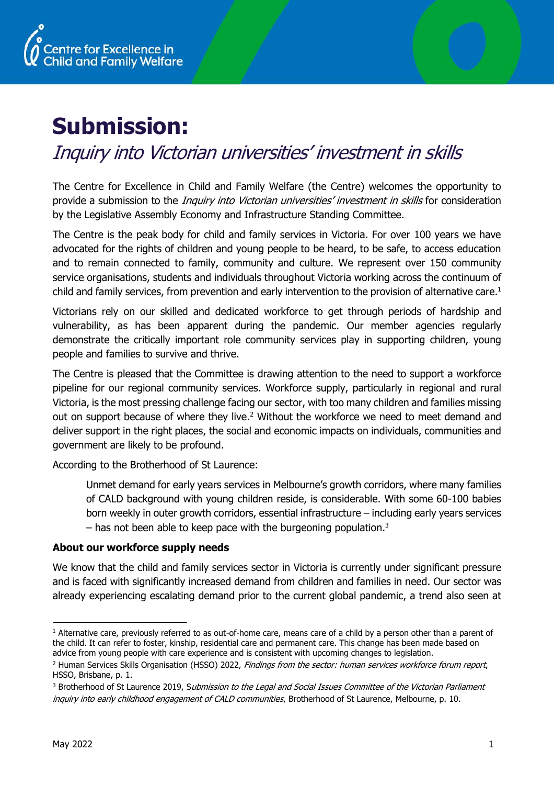

# **Submission:**

# Inquiry into Victorian universities' investment in skills

The Centre for Excellence in Child and Family Welfare (the Centre) welcomes the opportunity to provide a submission to the *Inquiry into Victorian universities' investment in skills* for consideration by the Legislative Assembly Economy and Infrastructure Standing Committee.

The Centre is the peak body for child and family services in Victoria. For over 100 years we have advocated for the rights of children and young people to be heard, to be safe, to access education and to remain connected to family, community and culture. We represent over 150 community service organisations, students and individuals throughout Victoria working across the continuum of child and family services, from prevention and early intervention to the provision of alternative care.<sup>1</sup>

Victorians rely on our skilled and dedicated workforce to get through periods of hardship and vulnerability, as has been apparent during the pandemic. Our member agencies regularly demonstrate the critically important role community services play in supporting children, young people and families to survive and thrive.

The Centre is pleased that the Committee is drawing attention to the need to support a workforce pipeline for our regional community services. Workforce supply, particularly in regional and rural Victoria, is the most pressing challenge facing our sector, with too many children and families missing out on support because of where they live.<sup>2</sup> Without the workforce we need to meet demand and deliver support in the right places, the social and economic impacts on individuals, communities and government are likely to be profound.

According to the Brotherhood of St Laurence:

Unmet demand for early years services in Melbourne's growth corridors, where many families of CALD background with young children reside, is considerable. With some 60-100 babies born weekly in outer growth corridors, essential infrastructure – including early years services  $-$  has not been able to keep pace with the burgeoning population.<sup>3</sup>

### **About our workforce supply needs**

We know that the child and family services sector in Victoria is currently under significant pressure and is faced with significantly increased demand from children and families in need. Our sector was already experiencing escalating demand prior to the current global pandemic, a trend also seen at

 $1$  Alternative care, previously referred to as out-of-home care, means care of a child by a person other than a parent of the child. It can refer to foster, kinship, residential care and permanent care. This change has been made based on advice from young people with care experience and is consistent with upcoming changes to legislation.

<sup>&</sup>lt;sup>2</sup> Human Services Skills Organisation (HSSO) 2022, Findings from the sector: human services workforce forum report, HSSO, Brisbane, p. 1.

<sup>&</sup>lt;sup>3</sup> Brotherhood of St Laurence 2019, Submission to the Legal and Social Issues Committee of the Victorian Parliament inquiry into early childhood engagement of CALD communities, Brotherhood of St Laurence, Melbourne, p. 10.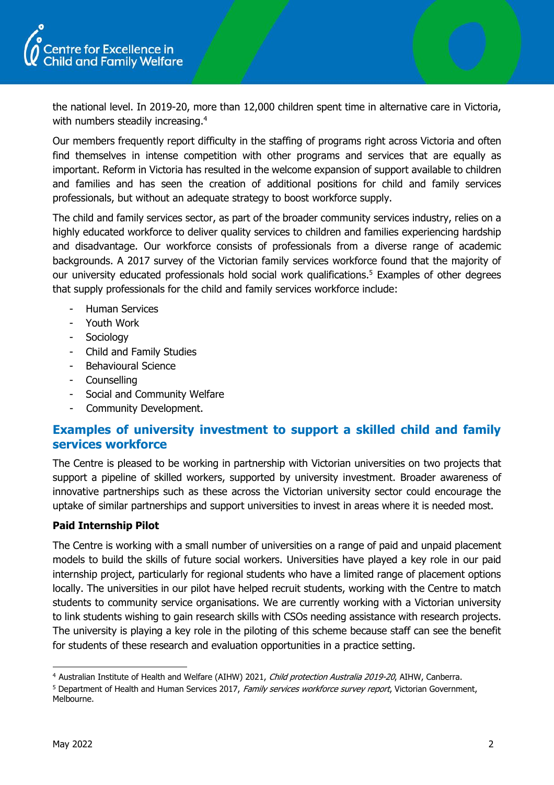

the national level. In 2019-20, more than 12,000 children spent time in alternative care in Victoria, with numbers steadily increasing.<sup>4</sup>

Our members frequently report difficulty in the staffing of programs right across Victoria and often find themselves in intense competition with other programs and services that are equally as important. Reform in Victoria has resulted in the welcome expansion of support available to children and families and has seen the creation of additional positions for child and family services professionals, but without an adequate strategy to boost workforce supply.

The child and family services sector, as part of the broader community services industry, relies on a highly educated workforce to deliver quality services to children and families experiencing hardship and disadvantage. Our workforce consists of professionals from a diverse range of academic backgrounds. A 2017 survey of the Victorian family services workforce found that the majority of our university educated professionals hold social work qualifications.<sup>5</sup> Examples of other degrees that supply professionals for the child and family services workforce include:

- Human Services
- Youth Work
- Sociology
- Child and Family Studies
- Behavioural Science
- Counselling
- Social and Community Welfare
- Community Development.

# **Examples of university investment to support a skilled child and family services workforce**

The Centre is pleased to be working in partnership with Victorian universities on two projects that support a pipeline of skilled workers, supported by university investment. Broader awareness of innovative partnerships such as these across the Victorian university sector could encourage the uptake of similar partnerships and support universities to invest in areas where it is needed most.

#### **Paid Internship Pilot**

The Centre is working with a small number of universities on a range of paid and unpaid placement models to build the skills of future social workers. Universities have played a key role in our paid internship project, particularly for regional students who have a limited range of placement options locally. The universities in our pilot have helped recruit students, working with the Centre to match students to community service organisations. We are currently working with a Victorian university to link students wishing to gain research skills with CSOs needing assistance with research projects. The university is playing a key role in the piloting of this scheme because staff can see the benefit for students of these research and evaluation opportunities in a practice setting.

<sup>4</sup> Australian Institute of Health and Welfare (AIHW) 2021, Child protection Australia 2019-20, AIHW, Canberra.

<sup>&</sup>lt;sup>5</sup> Department of Health and Human Services 2017, Family services workforce survey report, Victorian Government, Melbourne.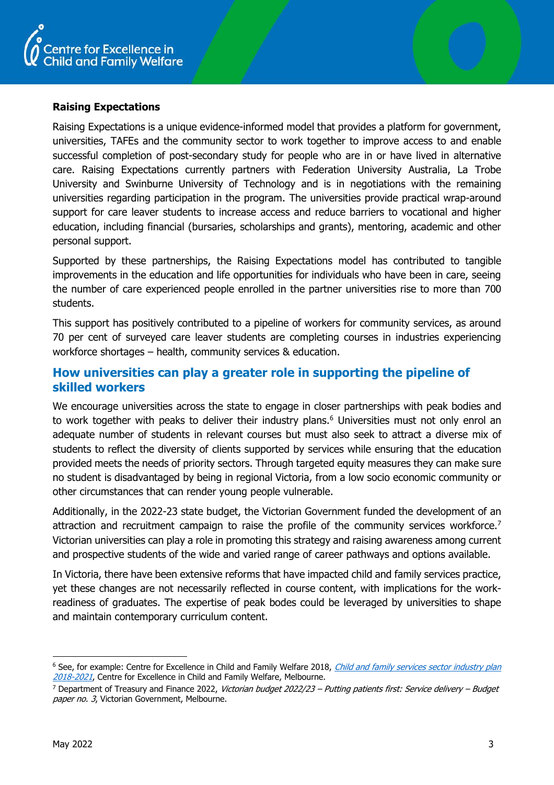

#### **Raising Expectations**

Raising Expectations is a unique evidence-informed model that provides a platform for government, universities, TAFEs and the community sector to work together to improve access to and enable successful completion of post-secondary study for people who are in or have lived in alternative care. Raising Expectations currently partners with Federation University Australia, La Trobe University and Swinburne University of Technology and is in negotiations with the remaining universities regarding participation in the program. The universities provide practical wrap-around support for care leaver students to increase access and reduce barriers to vocational and higher education, including financial (bursaries, scholarships and grants), mentoring, academic and other personal support.

Supported by these partnerships, the Raising Expectations model has contributed to tangible improvements in the education and life opportunities for individuals who have been in care, seeing the number of care experienced people enrolled in the partner universities rise to more than 700 students.

This support has positively contributed to a pipeline of workers for community services, as around 70 per cent of surveyed care leaver students are completing courses in industries experiencing workforce shortages – health, community services & education.

# **How universities can play a greater role in supporting the pipeline of skilled workers**

We encourage universities across the state to engage in closer partnerships with peak bodies and to work together with peaks to deliver their industry plans.<sup>6</sup> Universities must not only enrol an adequate number of students in relevant courses but must also seek to attract a diverse mix of students to reflect the diversity of clients supported by services while ensuring that the education provided meets the needs of priority sectors. Through targeted equity measures they can make sure no student is disadvantaged by being in regional Victoria, from a low socio economic community or other circumstances that can render young people vulnerable.

Additionally, in the 2022-23 state budget, the Victorian Government funded the development of an attraction and recruitment campaign to raise the profile of the community services workforce.<sup>7</sup> Victorian universities can play a role in promoting this strategy and raising awareness among current and prospective students of the wide and varied range of career pathways and options available.

In Victoria, there have been extensive reforms that have impacted child and family services practice, yet these changes are not necessarily reflected in course content, with implications for the workreadiness of graduates. The expertise of peak bodes could be leveraged by universities to shape and maintain contemporary curriculum content.

<sup>&</sup>lt;sup>6</sup> See, for example: Centre for Excellence in Child and Family Welfare 2018, Child and family services sector industry plan [2018-2021](https://gallery.mailchimp.com/735c980d83254d8db51ef91e3/files/3a71f5ca-158c-4aa7-b827-b57653f95f49/IndustryPlan_FINAL.pdf), Centre for Excellence in Child and Family Welfare, Melbourne.

<sup>&</sup>lt;sup>7</sup> Department of Treasury and Finance 2022, Victorian budget 2022/23 – Putting patients first: Service delivery – Budget paper no. 3, Victorian Government, Melbourne.